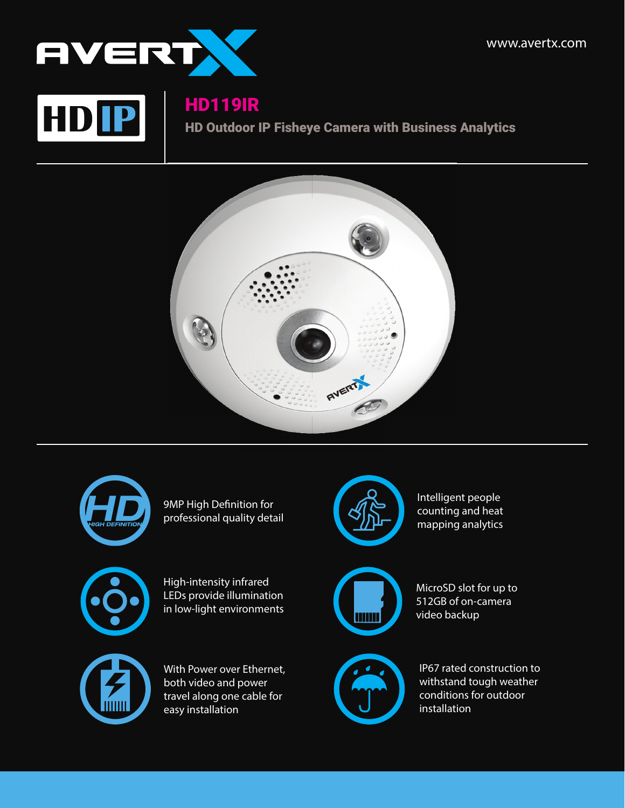



## HD119IR

HD Outdoor IP Fisheye Camera with Business Analytics





9MP High Definition for professional quality detail



High-intensity infrared LEDs provide illumination in low-light environments



With Power over Ethernet, both video and power travel along one cable for easy installation



Intelligent people counting and heat mapping analytics



MicroSD slot for up to 512GB of on-camera video backup



IP67 rated construction to withstand tough weather conditions for outdoor installation